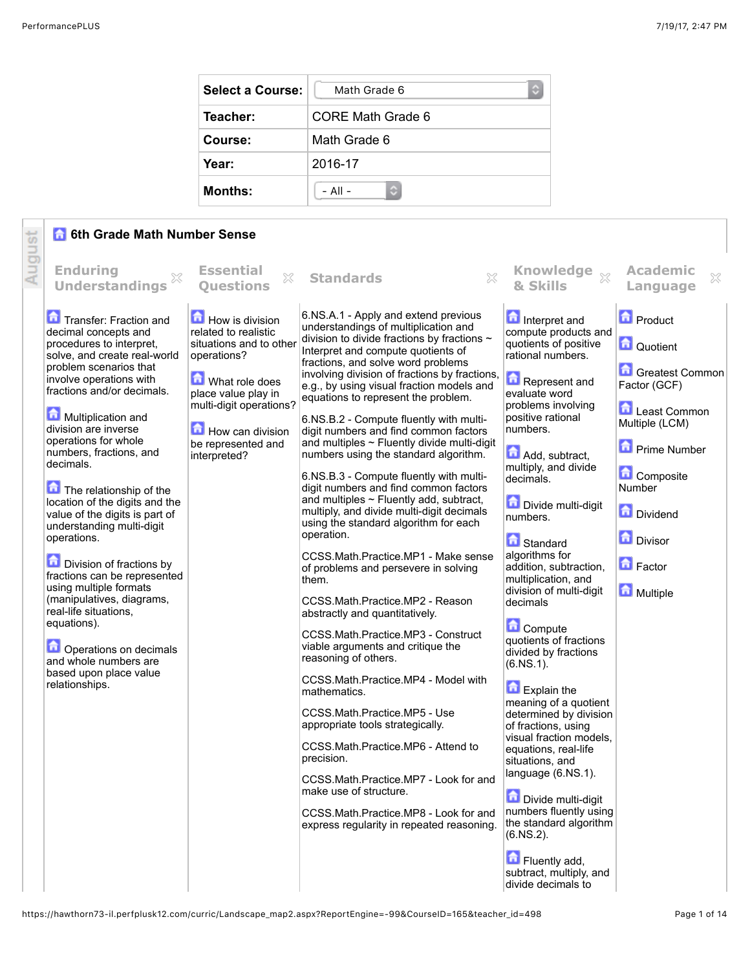| <b>Select a Course:</b> | Math Grade 6<br>٥ |
|-------------------------|-------------------|
| Teacher:                | CORE Math Grade 6 |
| Course:                 | Math Grade 6      |
| Year:                   | 2016-17           |
| <b>Months:</b>          | $-$ All $-$       |

## **6th Grade Math Number Sense**

| <b>Enduring</b><br><b>Essential</b><br>Knowledge xx<br><b>Academic</b><br>$\mathbb{X}$<br>83<br>$\mathbb{S}^2$<br>X<br><b>Standards</b><br><b>Understandings</b><br><b>Ouestions</b><br>& Skills<br>Language<br>6.NS.A.1 - Apply and extend previous<br><b>D</b> Product<br>Transfer: Fraction and<br>How is division<br>Interpret and<br>understandings of multiplication and<br>related to realistic<br>compute products and<br>decimal concepts and<br>division to divide fractions by fractions $\sim$<br>quotients of positive<br>Quotient<br>procedures to interpret,<br>situations and to other<br>Interpret and compute quotients of<br>rational numbers.<br>solve, and create real-world<br>operations?<br>fractions, and solve word problems<br>problem scenarios that<br>involving division of fractions by fractions,<br>Represent and<br>involve operations with<br><b>M</b> What role does<br>Factor (GCF)<br>e.g., by using visual fraction models and<br>fractions and/or decimals.<br>place value play in<br>evaluate word<br>equations to represent the problem.<br>multi-digit operations?<br>problems involving<br>Least Common<br>Multiplication and<br>positive rational<br>6.NS.B.2 - Compute fluently with multi-<br>Multiple (LCM)<br>division are inverse<br>How can division<br>numbers.<br>digit numbers and find common factors<br>operations for whole<br>and multiples $\sim$ Fluently divide multi-digit<br>be represented and<br><b>D</b> Prime Number<br>numbers, fractions, and<br>Add, subtract,<br>numbers using the standard algorithm.<br>interpreted?<br>decimals.<br>multiply, and divide<br>Composite<br>6.NS.B.3 - Compute fluently with multi-<br>decimals.<br>Number<br>digit numbers and find common factors<br>The relationship of the<br>and multiples $\sim$ Fluently add, subtract,<br>location of the digits and the<br>Divide multi-digit<br>Dividend<br>multiply, and divide multi-digit decimals<br>value of the digits is part of<br>numbers.<br>using the standard algorithm for each<br>understanding multi-digit<br>operation.<br><b>Divisor</b><br>operations.<br>Standard<br>algorithms for<br>CCSS.Math.Practice.MP1 - Make sense<br><b>D</b> Division of fractions by<br><b>D</b> Factor<br>addition, subtraction,<br>of problems and persevere in solving<br>fractions can be represented<br>multiplication, and<br>them.<br>using multiple formats<br>division of multi-digit<br>Multiple<br>(manipulatives, diagrams,<br>CCSS.Math.Practice.MP2 - Reason<br>decimals<br>real-life situations,<br>abstractly and quantitatively.<br>equations).<br><b>Compute</b><br>CCSS.Math.Practice.MP3 - Construct<br>quotients of fractions<br>viable arguments and critique the<br>Operations on decimals<br>divided by fractions<br>reasoning of others.<br>and whole numbers are<br>$(6.NS.1)$ .<br>based upon place value<br>CCSS.Math.Practice.MP4 - Model with<br>relationships.<br>Explain the<br>mathematics.<br>meaning of a quotient<br>CCSS.Math.Practice.MP5 - Use<br>determined by division<br>appropriate tools strategically.<br>of fractions, using<br>visual fraction models.<br>CCSS.Math.Practice.MP6 - Attend to<br>equations, real-life<br>precision.<br>situations, and<br>language (6.NS.1).<br>CCSS.Math.Practice.MP7 - Look for and<br>make use of structure.<br>Divide multi-digit<br>numbers fluently using<br>CCSS.Math.Practice.MP8 - Look for and<br>the standard algorithm<br>express regularity in repeated reasoning.<br>$(6.NS.2)$ . |        | 6th Grade Math Number Sense<br>奇 |  |  |               |                 |  |
|------------------------------------------------------------------------------------------------------------------------------------------------------------------------------------------------------------------------------------------------------------------------------------------------------------------------------------------------------------------------------------------------------------------------------------------------------------------------------------------------------------------------------------------------------------------------------------------------------------------------------------------------------------------------------------------------------------------------------------------------------------------------------------------------------------------------------------------------------------------------------------------------------------------------------------------------------------------------------------------------------------------------------------------------------------------------------------------------------------------------------------------------------------------------------------------------------------------------------------------------------------------------------------------------------------------------------------------------------------------------------------------------------------------------------------------------------------------------------------------------------------------------------------------------------------------------------------------------------------------------------------------------------------------------------------------------------------------------------------------------------------------------------------------------------------------------------------------------------------------------------------------------------------------------------------------------------------------------------------------------------------------------------------------------------------------------------------------------------------------------------------------------------------------------------------------------------------------------------------------------------------------------------------------------------------------------------------------------------------------------------------------------------------------------------------------------------------------------------------------------------------------------------------------------------------------------------------------------------------------------------------------------------------------------------------------------------------------------------------------------------------------------------------------------------------------------------------------------------------------------------------------------------------------------------------------------------------------------------------------------------------------------------------------------------------------------------------------------------------------------------------------------------------------------------------------------------------------------------------------------------------------------------------------------------------------------------------------------------------------------------------------------------------------------------------------------------------------------------------------------------------------------------|--------|----------------------------------|--|--|---------------|-----------------|--|
|                                                                                                                                                                                                                                                                                                                                                                                                                                                                                                                                                                                                                                                                                                                                                                                                                                                                                                                                                                                                                                                                                                                                                                                                                                                                                                                                                                                                                                                                                                                                                                                                                                                                                                                                                                                                                                                                                                                                                                                                                                                                                                                                                                                                                                                                                                                                                                                                                                                                                                                                                                                                                                                                                                                                                                                                                                                                                                                                                                                                                                                                                                                                                                                                                                                                                                                                                                                                                                                                                                                              | August |                                  |  |  |               |                 |  |
| subtract, multiply, and<br>divide decimals to                                                                                                                                                                                                                                                                                                                                                                                                                                                                                                                                                                                                                                                                                                                                                                                                                                                                                                                                                                                                                                                                                                                                                                                                                                                                                                                                                                                                                                                                                                                                                                                                                                                                                                                                                                                                                                                                                                                                                                                                                                                                                                                                                                                                                                                                                                                                                                                                                                                                                                                                                                                                                                                                                                                                                                                                                                                                                                                                                                                                                                                                                                                                                                                                                                                                                                                                                                                                                                                                                |        |                                  |  |  | Fluently add, | Greatest Common |  |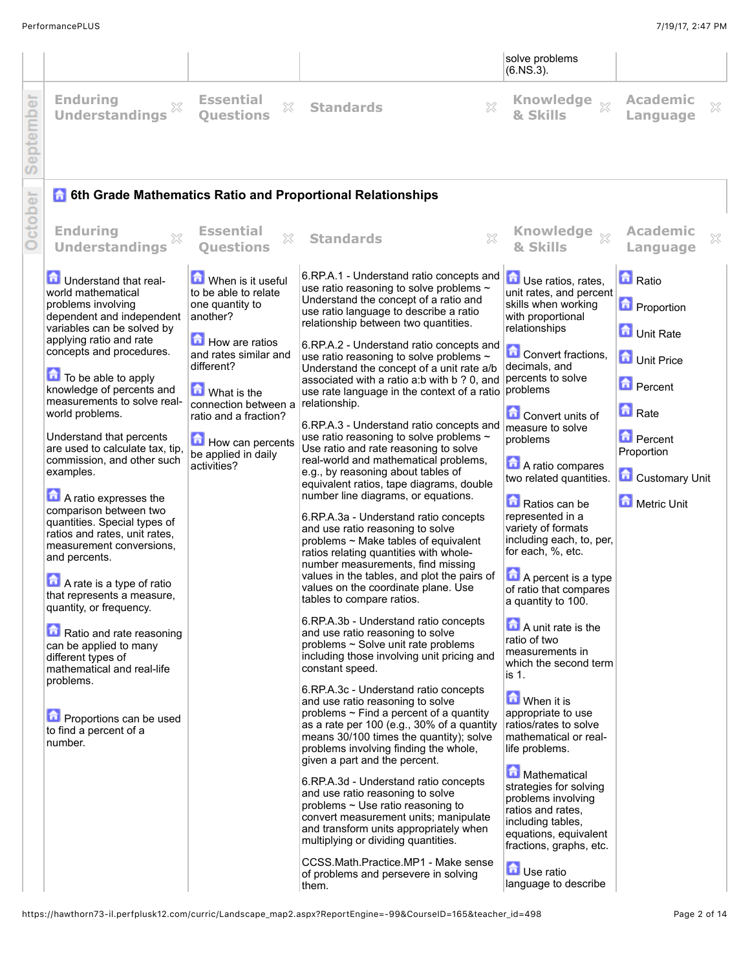|                                          |                            |  |                                               | solve problems<br>$(6.NS.3)$ . |                      |  |
|------------------------------------------|----------------------------|--|-----------------------------------------------|--------------------------------|----------------------|--|
| $\overleftarrow{\mathbb{\omega}}$<br>emb | Enduring<br>Understandings |  | Essential <b>&amp; Standards</b><br>Questions | Knowledge $\sim$<br>& Skills   | Academic<br>Language |  |

| ept                                                                                                                                                                                                                                                                                                                                                                                                                                                                                                                                                                                                                                                                                                                                                                                                                                                        |                                                                                                                                                                                                                                                             |                                                                                                                                                                                                                                                                                                                                                                                                                                                                                                                                                                                                                                                                                                                                                                                                                                                                                                                                                                                                                                                                                                                                                                                                                                                                                                                                                                                                                                                                                                                                                                                                                                                                                                                                                                                                                                                                                                                                                     |                                                                                                                                                                                                                                                                                                                                                                                                                                                                                                                                                                                                                                                                                                                                                                                                                                                             |                                                                                                                                                                          |   |
|------------------------------------------------------------------------------------------------------------------------------------------------------------------------------------------------------------------------------------------------------------------------------------------------------------------------------------------------------------------------------------------------------------------------------------------------------------------------------------------------------------------------------------------------------------------------------------------------------------------------------------------------------------------------------------------------------------------------------------------------------------------------------------------------------------------------------------------------------------|-------------------------------------------------------------------------------------------------------------------------------------------------------------------------------------------------------------------------------------------------------------|-----------------------------------------------------------------------------------------------------------------------------------------------------------------------------------------------------------------------------------------------------------------------------------------------------------------------------------------------------------------------------------------------------------------------------------------------------------------------------------------------------------------------------------------------------------------------------------------------------------------------------------------------------------------------------------------------------------------------------------------------------------------------------------------------------------------------------------------------------------------------------------------------------------------------------------------------------------------------------------------------------------------------------------------------------------------------------------------------------------------------------------------------------------------------------------------------------------------------------------------------------------------------------------------------------------------------------------------------------------------------------------------------------------------------------------------------------------------------------------------------------------------------------------------------------------------------------------------------------------------------------------------------------------------------------------------------------------------------------------------------------------------------------------------------------------------------------------------------------------------------------------------------------------------------------------------------------|-------------------------------------------------------------------------------------------------------------------------------------------------------------------------------------------------------------------------------------------------------------------------------------------------------------------------------------------------------------------------------------------------------------------------------------------------------------------------------------------------------------------------------------------------------------------------------------------------------------------------------------------------------------------------------------------------------------------------------------------------------------------------------------------------------------------------------------------------------------|--------------------------------------------------------------------------------------------------------------------------------------------------------------------------|---|
| ဖ                                                                                                                                                                                                                                                                                                                                                                                                                                                                                                                                                                                                                                                                                                                                                                                                                                                          |                                                                                                                                                                                                                                                             | <b>6 6th Grade Mathematics Ratio and Proportional Relationships</b>                                                                                                                                                                                                                                                                                                                                                                                                                                                                                                                                                                                                                                                                                                                                                                                                                                                                                                                                                                                                                                                                                                                                                                                                                                                                                                                                                                                                                                                                                                                                                                                                                                                                                                                                                                                                                                                                                 |                                                                                                                                                                                                                                                                                                                                                                                                                                                                                                                                                                                                                                                                                                                                                                                                                                                             |                                                                                                                                                                          |   |
| October<br><b>Enduring</b><br>$\chi$<br><b>Understandings</b>                                                                                                                                                                                                                                                                                                                                                                                                                                                                                                                                                                                                                                                                                                                                                                                              | <b>Essential</b><br>$\mathbb{X}$<br><b>Ouestions</b>                                                                                                                                                                                                        | 83<br><b>Standards</b>                                                                                                                                                                                                                                                                                                                                                                                                                                                                                                                                                                                                                                                                                                                                                                                                                                                                                                                                                                                                                                                                                                                                                                                                                                                                                                                                                                                                                                                                                                                                                                                                                                                                                                                                                                                                                                                                                                                              | Knowledge xx<br>& Skills                                                                                                                                                                                                                                                                                                                                                                                                                                                                                                                                                                                                                                                                                                                                                                                                                                    | <b>Academic</b><br>Language                                                                                                                                              | X |
| <b>D</b> Understand that real-<br>world mathematical<br>problems involving<br>dependent and independent<br>variables can be solved by<br>applying ratio and rate<br>concepts and procedures.<br>To be able to apply<br>knowledge of percents and<br>measurements to solve real-<br>world problems.<br>Understand that percents<br>are used to calculate tax, tip,<br>commission, and other such<br>examples.<br>A ratio expresses the<br>comparison between two<br>quantities. Special types of<br>ratios and rates, unit rates,<br>measurement conversions,<br>and percents.<br>A rate is a type of ratio<br>that represents a measure,<br>quantity, or frequency.<br>Ratio and rate reasoning<br>can be applied to many<br>different types of<br>mathematical and real-life<br>problems.<br>Proportions can be used<br>to find a percent of a<br>number. | When is it useful<br>to be able to relate<br>one quantity to<br>another?<br>How are ratios<br>and rates similar and<br>different?<br>What is the<br>connection between a<br>ratio and a fraction?<br>How can percents<br>be applied in daily<br>activities? | 6.RP.A.1 - Understand ratio concepts and<br>use ratio reasoning to solve problems ~<br>Understand the concept of a ratio and<br>use ratio language to describe a ratio<br>relationship between two quantities.<br>6.RP.A.2 - Understand ratio concepts and<br>use ratio reasoning to solve problems ~<br>Understand the concept of a unit rate a/b<br>associated with a ratio a b with b ? 0, and percents to solve<br>use rate language in the context of a ratio problems<br>relationship.<br>6.RP.A.3 - Understand ratio concepts and<br>use ratio reasoning to solve problems ~<br>Use ratio and rate reasoning to solve<br>real-world and mathematical problems,<br>e.g., by reasoning about tables of<br>equivalent ratios, tape diagrams, double<br>number line diagrams, or equations.<br>6.RP.A.3a - Understand ratio concepts<br>and use ratio reasoning to solve<br>problems ~ Make tables of equivalent<br>ratios relating quantities with whole-<br>number measurements, find missing<br>values in the tables, and plot the pairs of<br>values on the coordinate plane. Use<br>tables to compare ratios.<br>6.RP.A.3b - Understand ratio concepts<br>and use ratio reasoning to solve<br>problems ~ Solve unit rate problems<br>including those involving unit pricing and<br>constant speed.<br>6.RP.A.3c - Understand ratio concepts<br>and use ratio reasoning to solve<br>problems $\sim$ Find a percent of a quantity<br>as a rate per 100 (e.g., 30% of a quantity<br>means 30/100 times the quantity); solve<br>problems involving finding the whole,<br>given a part and the percent.<br>6.RP.A.3d - Understand ratio concepts<br>and use ratio reasoning to solve<br>problems $\sim$ Use ratio reasoning to<br>convert measurement units; manipulate<br>and transform units appropriately when<br>multiplying or dividing quantities.<br>CCSS.Math.Practice.MP1 - Make sense<br>of problems and persevere in solving<br>them. | Use ratios, rates,<br>unit rates, and percent<br>skills when working<br>with proportional<br>relationships<br>Convert fractions,<br>decimals, and<br><b>Convert units of</b><br>measure to solve<br>problems<br>A ratio compares<br>two related quantities.<br>Ratios can be<br>represented in a<br>variety of formats<br>including each, to, per,<br>for each, %, etc.<br>A percent is a type<br>of ratio that compares<br>a quantity to 100.<br>$\Box$ A unit rate is the<br>ratio of two<br>measurements in<br>which the second term<br>is 1.<br>When it is<br>appropriate to use<br>ratios/rates to solve<br>mathematical or real-<br>life problems.<br>Mathematical<br>strategies for solving<br>problems involving<br>ratios and rates,<br>including tables,<br>equations, equivalent<br>fractions, graphs, etc.<br>Use ratio<br>language to describe | <b>n</b> Ratio<br><b>D</b> Proportion<br>Unit Rate<br>Unit Price<br><b>D</b> Percent<br><b>n</b> Rate<br><b>D</b> Percent<br>Proportion<br>Customary Unit<br>Metric Unit |   |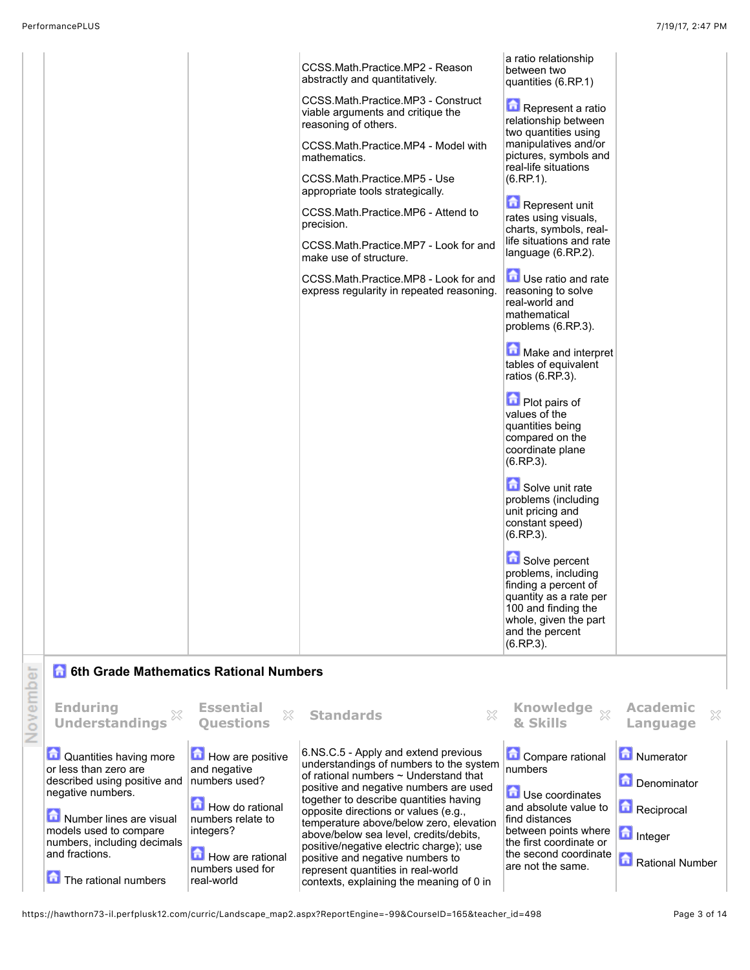2

described using positive and numbers used? negative numbers. **Number lines are visual** models used to compare numbers, including decimals and fractions. **The rational numbers** How do rational numbers relate to integers? How are rational numbers used for real-world of rational numbers ~ Understand that positive and negative numbers are used together to describe quantities having opposite directions or values (e.g., temperature above/below zero, elevation above/below sea level, credits/debits, positive/negative electric charge); use positive and negative numbers to represent quantities in real-world contexts, explaining the meaning of 0 in **D** Use coordinates and absolute value to find distances between points where the first coordinate or the second coordinate are not the same. Denominator Reciprocal **Integer** Rational Number

https://hawthorn73-il.perfplusk12.com/curric/Landscape\_map2.aspx?ReportEngine=-99&CourseID=165&teacher\_id=498 Page 3 of 14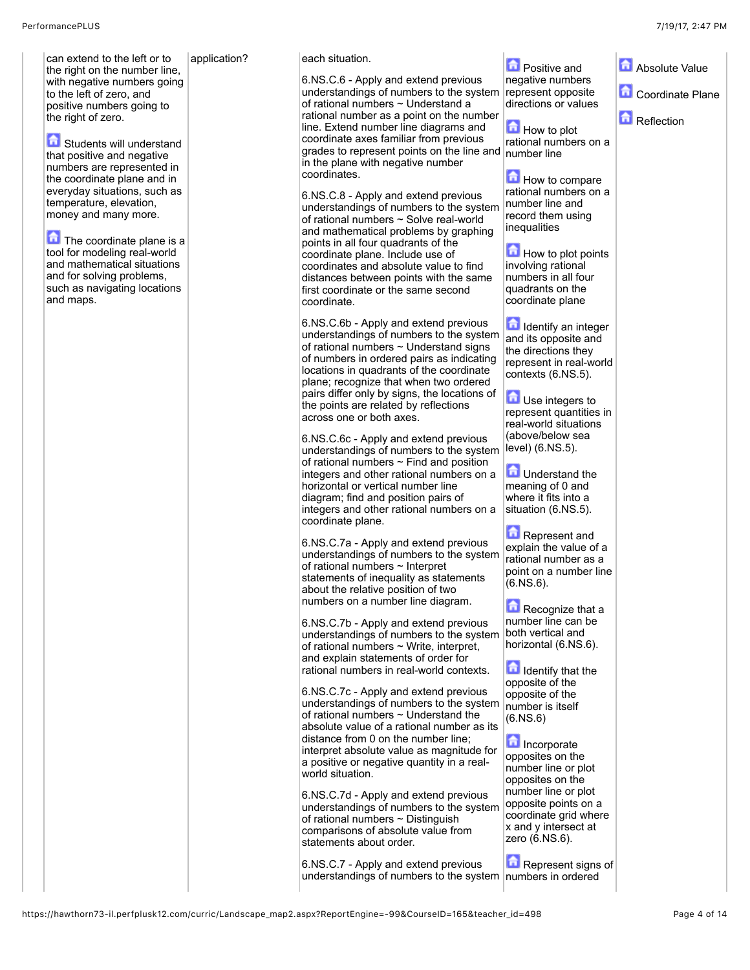can extend to the left or to the right on the number line, with negative numbers going to the left of zero, and positive numbers going to the right of zero.

Students will understand that positive and negative numbers are represented in the coordinate plane and in everyday situations, such as temperature, elevation, money and many more.

 $\Box$  The coordinate plane is a tool for modeling real-world and mathematical situations and for solving problems, such as navigating locations and maps.

application? each situation.

6.NS.C.6 - Apply and extend previous understandings of numbers to the system of rational numbers ~ Understand a rational number as a point on the number line. Extend number line diagrams and coordinate axes familiar from previous grades to represent points on the line and in the plane with negative number coordinates.

6.NS.C.8 - Apply and extend previous understandings of numbers to the system of rational numbers ~ Solve real-world and mathematical problems by graphing points in all four quadrants of the coordinate plane. Include use of coordinates and absolute value to find distances between points with the same first coordinate or the same second coordinate.

6.NS.C.6b - Apply and extend previous understandings of numbers to the system of rational numbers  $\sim$  Understand signs of numbers in ordered pairs as indicating locations in quadrants of the coordinate plane; recognize that when two ordered pairs differ only by signs, the locations of the points are related by reflections across one or both axes.

6.NS.C.6c - Apply and extend previous understandings of numbers to the system of rational numbers  $\sim$  Find and position integers and other rational numbers on a horizontal or vertical number line diagram; find and position pairs of integers and other rational numbers on a coordinate plane.

6.NS.C.7a - Apply and extend previous understandings of numbers to the system of rational numbers ~ Interpret statements of inequality as statements about the relative position of two numbers on a number line diagram.

6.NS.C.7b - Apply and extend previous understandings of numbers to the system of rational numbers ~ Write, interpret, and explain statements of order for rational numbers in real-world contexts.

6.NS.C.7c - Apply and extend previous understandings of numbers to the system of rational numbers  $\sim$  Understand the absolute value of a rational number as its distance from 0 on the number line; interpret absolute value as magnitude for a positive or negative quantity in a realworld situation.

6.NS.C.7d - Apply and extend previous understandings of numbers to the system of rational numbers  $\sim$  Distinguish comparisons of absolute value from statements about order.

6.NS.C.7 - Apply and extend previous understandings of numbers to the system numbers in ordered

**Positive and** negative numbers represent opposite directions or values **Absolute Value Coordinate Plane** 

Reflection

**How to plot** rational numbers on a number line

How to compare rational numbers on a number line and record them using inequalities

 $\blacksquare$  How to plot points involving rational numbers in all four quadrants on the coordinate plane

Identify an integer and its opposite and the directions they represent in real-world contexts (6.NS.5).

**D** Use integers to represent quantities in real-world situations (above/below sea level) (6.NS.5).

**D** Understand the meaning of 0 and where it fits into a situation (6.NS.5).

**Represent and** explain the value of a rational number as a point on a number line  $(6.NS.6)$ .

Recognize that a number line can be both vertical and horizontal (6.NS.6).

Identify that the opposite of the opposite of the number is itself (6.NS.6)

**Incorporate** opposites on the number line or plot opposites on the number line or plot opposite points on a coordinate grid where x and y intersect at zero (6.NS.6).

Represent signs of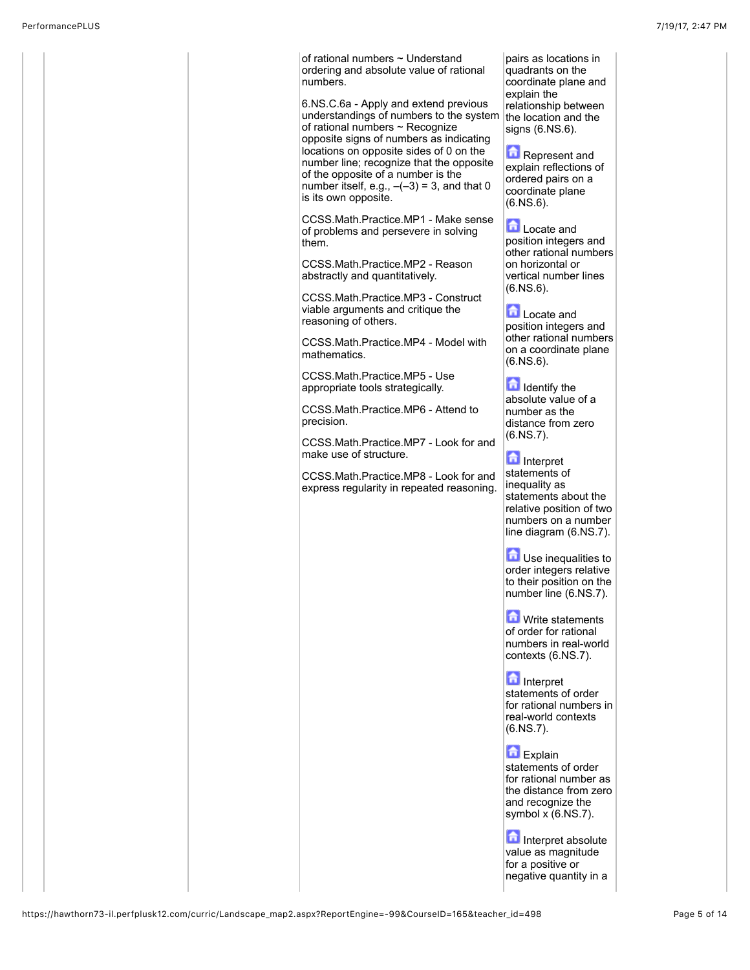of rational numbers ~ Understand ordering and absolute value of rational numbers. 6.NS.C.6a - Apply and extend previous understandings of numbers to the system of rational numbers ~ Recognize opposite signs of numbers as indicating locations on opposite sides of 0 on the number line; recognize that the opposite of the opposite of a number is the number itself, e.g.,  $-(-3) = 3$ , and that 0 is its own opposite. CCSS.Math.Practice.MP1 - Make sense of problems and persevere in solving them. CCSS.Math.Practice.MP2 - Reason abstractly and quantitatively. CCSS.Math.Practice.MP3 - Construct viable arguments and critique the reasoning of others. CCSS.Math.Practice.MP4 - Model with mathematics. CCSS.Math.Practice.MP5 - Use appropriate tools strategically. CCSS.Math.Practice.MP6 - Attend to precision. CCSS.Math.Practice.MP7 - Look for and make use of structure. CCSS.Math.Practice.MP8 - Look for and express regularity in repeated reasoning. pairs as locations in quadrants on the coordinate plane and explain the relationship between the location and the signs (6.NS.6). **Represent and** explain reflections of ordered pairs on a coordinate plane (6.NS.6). **Locate** and position integers and other rational numbers on horizontal or vertical number lines (6.NS.6). **Locate and** position integers and other rational numbers on a coordinate plane (6.NS.6). Identify the absolute value of a number as the distance from zero (6.NS.7). Interpret statements of inequality as statements about the relative position of two numbers on a number line diagram (6.NS.7). **D** Use inequalities to order integers relative to their position on the number line (6.NS.7). **M** Write statements of order for rational numbers in real-world contexts (6.NS.7). **Interpret** statements of order for rational numbers in real-world contexts  $(6.NS.7)$ .  $\blacksquare$  Explain statements of order for rational number as the distance from zero and recognize the symbol x (6.NS.7). Interpret absolute value as magnitude for a positive or

negative quantity in a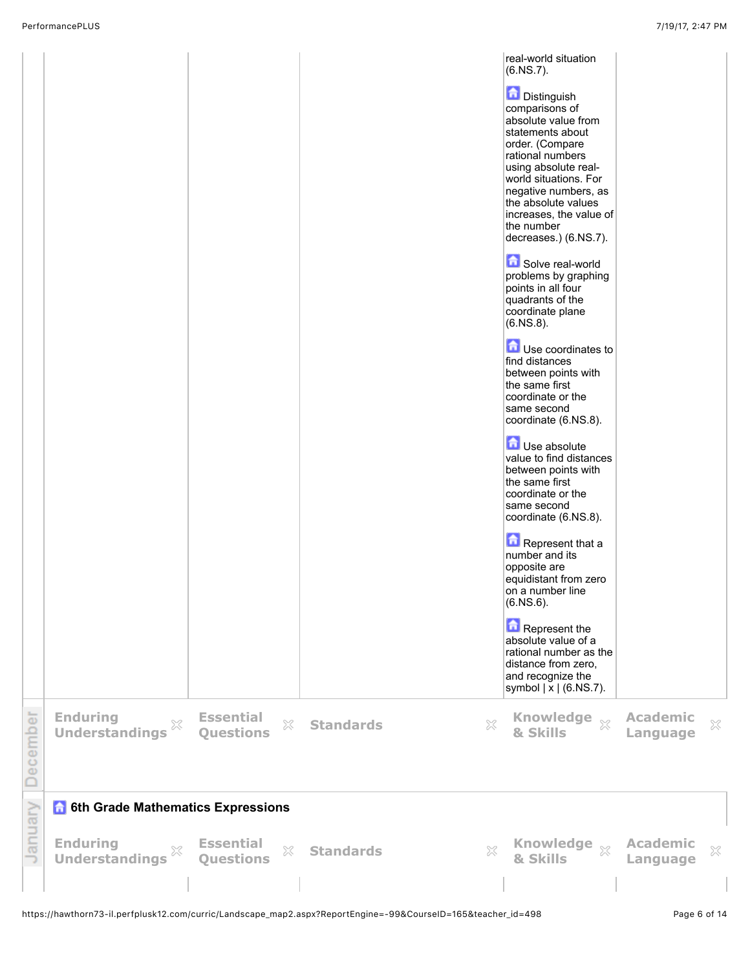|                |                                                          |                                                      |                                  | real-world situation<br>$(6.NS.7)$ .<br>Distinguish<br>comparisons of<br>absolute value from<br>statements about<br>order. (Compare<br>rational numbers<br>using absolute real-<br>world situations. For<br>negative numbers, as<br>the absolute values<br>increases, the value of<br>the number<br>decreases.) (6.NS.7).<br>Solve real-world<br>problems by graphing<br>points in all four<br>quadrants of the<br>coordinate plane<br>$(6.NS.8)$ .<br>Use coordinates to<br>find distances<br>between points with<br>the same first<br>coordinate or the<br>same second<br>coordinate (6.NS.8).<br><b>D</b> Use absolute<br>value to find distances<br>between points with<br>the same first<br>coordinate or the<br>same second<br>coordinate (6.NS.8).<br>Represent that a<br>number and its<br>opposite are<br>equidistant from zero<br>on a number line<br>$(6.NS.6)$ .<br>Represent the<br>absolute value of a<br>rational number as the<br>distance from zero,<br>and recognize the<br>symbol $\vert \bar{x} \vert$ (6.NS.7). |                             |              |
|----------------|----------------------------------------------------------|------------------------------------------------------|----------------------------------|--------------------------------------------------------------------------------------------------------------------------------------------------------------------------------------------------------------------------------------------------------------------------------------------------------------------------------------------------------------------------------------------------------------------------------------------------------------------------------------------------------------------------------------------------------------------------------------------------------------------------------------------------------------------------------------------------------------------------------------------------------------------------------------------------------------------------------------------------------------------------------------------------------------------------------------------------------------------------------------------------------------------------------------|-----------------------------|--------------|
| December       | <b>Enduring</b><br>$\mathbb{X}$<br><b>Understandings</b> | <b>Essential</b><br>$\mathbb{X}$<br><b>Questions</b> | $\mathbb{X}$<br><b>Standards</b> | Knowledge xx<br>& Skills                                                                                                                                                                                                                                                                                                                                                                                                                                                                                                                                                                                                                                                                                                                                                                                                                                                                                                                                                                                                             | <b>Academic</b><br>Language | $\mathbb{X}$ |
|                | <b>6th Grade Mathematics Expressions</b>                 |                                                      |                                  |                                                                                                                                                                                                                                                                                                                                                                                                                                                                                                                                                                                                                                                                                                                                                                                                                                                                                                                                                                                                                                      |                             |              |
| <b>January</b> | <b>Enduring</b><br>X<br><b>Understandings</b>            | <b>Essential</b><br>×<br><b>Questions</b>            | $\mathbb{X}$<br><b>Standards</b> | Knowledge xx<br>& Skills                                                                                                                                                                                                                                                                                                                                                                                                                                                                                                                                                                                                                                                                                                                                                                                                                                                                                                                                                                                                             | <b>Academic</b><br>Language | $\mathbb{X}$ |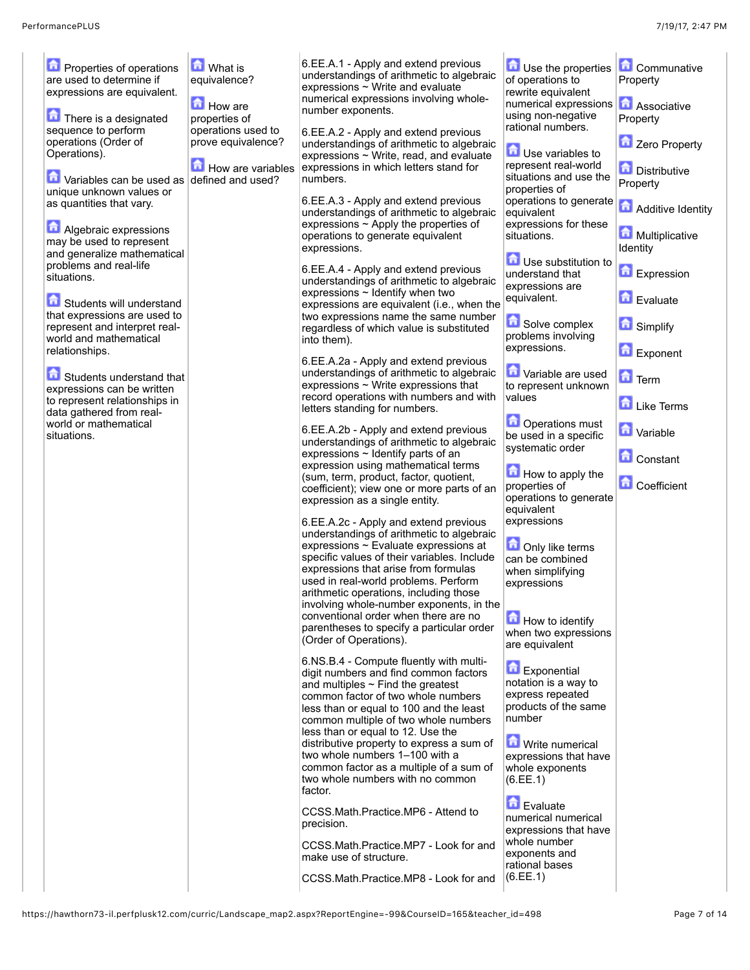| <b>D</b> Properties of operations                         | <b>M</b> What is                    | 6.EE.A.1 - Apply and extend previous                                                 | Use the properties                          | Communative                |
|-----------------------------------------------------------|-------------------------------------|--------------------------------------------------------------------------------------|---------------------------------------------|----------------------------|
| are used to determine if                                  | equivalence?                        | understandings of arithmetic to algebraic<br>expressions ~ Write and evaluate        | of operations to                            | Property                   |
| expressions are equivalent.                               |                                     | numerical expressions involving whole-                                               | rewrite equivalent                          |                            |
|                                                           | How are                             | number exponents.                                                                    | numerical expressions<br>using non-negative | <b>Associative</b>         |
| There is a designated<br>sequence to perform              | properties of<br>operations used to |                                                                                      | rational numbers.                           | Property                   |
| operations (Order of                                      | prove equivalence?                  | 6.EE.A.2 - Apply and extend previous<br>understandings of arithmetic to algebraic    |                                             | Zero Property              |
| Operations).                                              |                                     | expressions ~ Write, read, and evaluate                                              | Use variables to                            |                            |
|                                                           | How are variables                   | expressions in which letters stand for                                               | represent real-world                        | <b>Distributive</b>        |
| $\bullet$ Variables can be used as defined and used?      |                                     | numbers.                                                                             | situations and use the<br>properties of     | Property                   |
| unique unknown values or<br>as quantities that vary.      |                                     | 6.EE.A.3 - Apply and extend previous                                                 | operations to generate                      |                            |
|                                                           |                                     | understandings of arithmetic to algebraic                                            | equivalent                                  | Additive Identity          |
| Algebraic expressions                                     |                                     | expressions $\sim$ Apply the properties of                                           | expressions for these                       |                            |
| may be used to represent                                  |                                     | operations to generate equivalent<br>expressions.                                    | situations.                                 | Multiplicative<br>Identity |
| and generalize mathematical                               |                                     |                                                                                      | Use substitution to                         |                            |
| problems and real-life<br>situations.                     |                                     | 6.EE.A.4 - Apply and extend previous                                                 | understand that                             | <b>D</b> Expression        |
|                                                           |                                     | understandings of arithmetic to algebraic<br>expressions $\sim$ Identify when two    | expressions are                             |                            |
| Students will understand                                  |                                     | expressions are equivalent (i.e., when the                                           | equivalent.                                 | Evaluate                   |
| that expressions are used to                              |                                     | two expressions name the same number                                                 |                                             |                            |
| represent and interpret real-<br>world and mathematical   |                                     | regardless of which value is substituted                                             | Solve complex<br>problems involving         | <b>G</b> Simplify          |
| relationships.                                            |                                     | into them).                                                                          | expressions.                                | Exponent                   |
|                                                           |                                     | 6.EE.A.2a - Apply and extend previous                                                |                                             |                            |
| Students understand that                                  |                                     | understandings of arithmetic to algebraic                                            | Variable are used                           | <b>n</b> Term              |
| expressions can be written                                |                                     | expressions $\sim$ Write expressions that<br>record operations with numbers and with | to represent unknown<br>values              |                            |
| to represent relationships in<br>data gathered from real- |                                     | letters standing for numbers.                                                        |                                             | Like Terms                 |
| world or mathematical                                     |                                     |                                                                                      | Operations must                             |                            |
| situations.                                               |                                     | 6.EE.A.2b - Apply and extend previous<br>understandings of arithmetic to algebraic   | be used in a specific                       | <b>D</b> Variable          |
|                                                           |                                     | expressions $\sim$ Identify parts of an                                              | systematic order                            | <b>Constant</b>            |
|                                                           |                                     | expression using mathematical terms                                                  | How to apply the                            |                            |
|                                                           |                                     | (sum, term, product, factor, quotient,<br>coefficient); view one or more parts of an | properties of                               | <b>Coefficient</b>         |
|                                                           |                                     | expression as a single entity.                                                       | operations to generate                      |                            |
|                                                           |                                     |                                                                                      | equivalent                                  |                            |
|                                                           |                                     | 6.EE.A.2c - Apply and extend previous<br>understandings of arithmetic to algebraic   | expressions                                 |                            |
|                                                           |                                     | expressions ~ Evaluate expressions at                                                | <b>D</b> Only like terms                    |                            |
|                                                           |                                     | specific values of their variables. Include                                          | can be combined                             |                            |
|                                                           |                                     | expressions that arise from formulas                                                 | when simplifying                            |                            |
|                                                           |                                     | used in real-world problems. Perform<br>arithmetic operations, including those       | expressions                                 |                            |
|                                                           |                                     | involving whole-number exponents, in the                                             |                                             |                            |
|                                                           |                                     | conventional order when there are no                                                 | How to identify                             |                            |
|                                                           |                                     | parentheses to specify a particular order<br>(Order of Operations).                  | when two expressions                        |                            |
|                                                           |                                     |                                                                                      | are equivalent                              |                            |
|                                                           |                                     | 6.NS.B.4 - Compute fluently with multi-                                              | Exponential                                 |                            |
|                                                           |                                     | digit numbers and find common factors<br>and multiples $\sim$ Find the greatest      | notation is a way to                        |                            |
|                                                           |                                     | common factor of two whole numbers                                                   | express repeated                            |                            |
|                                                           |                                     | less than or equal to 100 and the least                                              | products of the same                        |                            |
|                                                           |                                     | common multiple of two whole numbers                                                 | number                                      |                            |
|                                                           |                                     | less than or equal to 12. Use the<br>distributive property to express a sum of       | <b>M</b> Write numerical                    |                            |
|                                                           |                                     | two whole numbers 1–100 with a                                                       | expressions that have                       |                            |
|                                                           |                                     | common factor as a multiple of a sum of                                              | whole exponents                             |                            |
|                                                           |                                     | two whole numbers with no common<br>factor.                                          | (6.EE.1)                                    |                            |
|                                                           |                                     |                                                                                      | Evaluate                                    |                            |
|                                                           |                                     | CCSS.Math.Practice.MP6 - Attend to                                                   | numerical numerical                         |                            |
|                                                           |                                     | precision.                                                                           | expressions that have                       |                            |
|                                                           |                                     | CCSS.Math.Practice.MP7 - Look for and                                                | whole number<br>exponents and               |                            |
|                                                           |                                     | make use of structure.                                                               | rational bases                              |                            |
|                                                           |                                     | CCSS.Math.Practice.MP8 - Look for and                                                | (6.EE.1)                                    |                            |
|                                                           |                                     |                                                                                      |                                             |                            |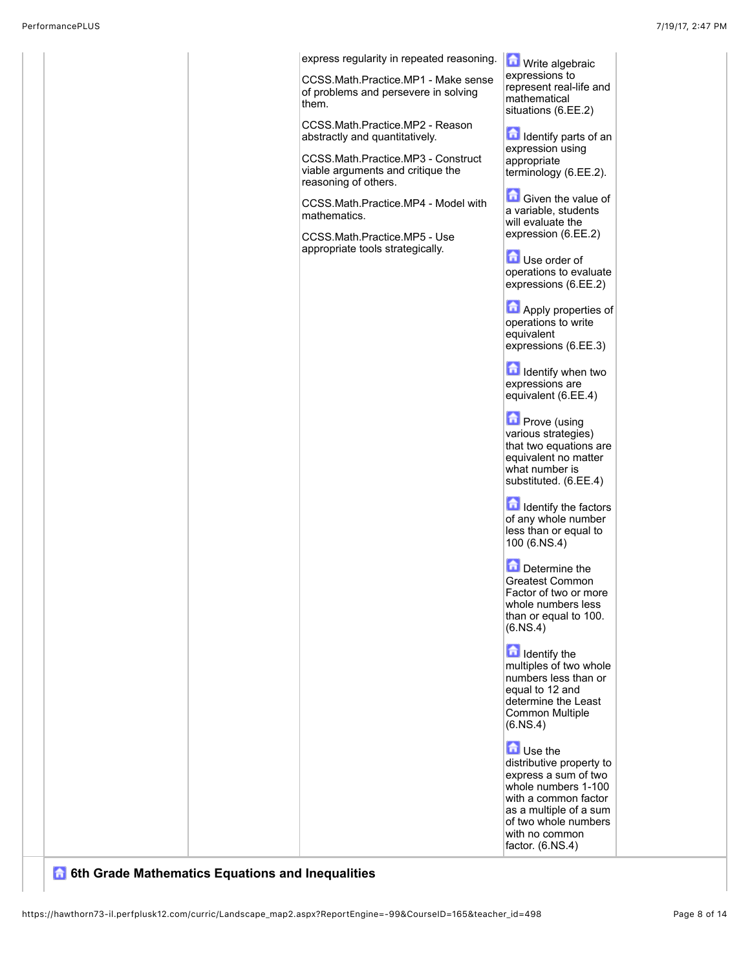|  | express regularity in repeated reasoning.<br>CCSS.Math.Practice.MP1 - Make sense<br>of problems and persevere in solving<br>them.<br>CCSS.Math.Practice.MP2 - Reason<br>abstractly and quantitatively.<br>CCSS.Math.Practice.MP3 - Construct<br>viable arguments and critique the<br>reasoning of others.<br>CCSS.Math.Practice.MP4 - Model with<br>mathematics.<br>CCSS.Math.Practice.MP5 - Use<br>appropriate tools strategically. | Write algebraic<br>expressions to<br>represent real-life and<br>mathematical<br>situations (6.EE.2)<br>Identify parts of an<br>expression using<br>appropriate<br>terminology (6.EE.2).<br><b>Given the value of</b><br>a variable, students<br>will evaluate the<br>expression (6.EE.2)<br><b>D</b> Use order of<br>operations to evaluate<br>expressions (6.EE.2)<br>Apply properties of<br>operations to write<br>equivalent<br>expressions (6.EE.3)<br><b>In Identify when two</b><br>expressions are<br>equivalent (6.EE.4)<br><b>D</b> Prove (using<br>various strategies)<br>that two equations are<br>equivalent no matter<br>what number is<br>substituted. (6.EE.4)<br><b>In Identify the factors</b><br>of any whole number<br>less than or equal to<br>100 (6.NS.4)<br>Determine the<br>Greatest Common<br>Factor of two or more<br>whole numbers less<br>than or equal to 100.<br>(6.NS.4)<br>dentify the<br>multiples of two whole<br>numbers less than or<br>equal to 12 and<br>determine the Least<br>Common Multiple<br>(6.NS.4)<br><b>D</b> Use the<br>distributive property to<br>express a sum of two<br>whole numbers 1-100<br>with a common factor |
|--|--------------------------------------------------------------------------------------------------------------------------------------------------------------------------------------------------------------------------------------------------------------------------------------------------------------------------------------------------------------------------------------------------------------------------------------|--------------------------------------------------------------------------------------------------------------------------------------------------------------------------------------------------------------------------------------------------------------------------------------------------------------------------------------------------------------------------------------------------------------------------------------------------------------------------------------------------------------------------------------------------------------------------------------------------------------------------------------------------------------------------------------------------------------------------------------------------------------------------------------------------------------------------------------------------------------------------------------------------------------------------------------------------------------------------------------------------------------------------------------------------------------------------------------------------------------------------------------------------------------------------|
|  |                                                                                                                                                                                                                                                                                                                                                                                                                                      | as a multiple of a sum<br>of two whole numbers<br>with no common<br>factor. (6.NS.4)                                                                                                                                                                                                                                                                                                                                                                                                                                                                                                                                                                                                                                                                                                                                                                                                                                                                                                                                                                                                                                                                                     |
|  |                                                                                                                                                                                                                                                                                                                                                                                                                                      |                                                                                                                                                                                                                                                                                                                                                                                                                                                                                                                                                                                                                                                                                                                                                                                                                                                                                                                                                                                                                                                                                                                                                                          |

## **6 6th Grade Mathematics Equations and Inequalities**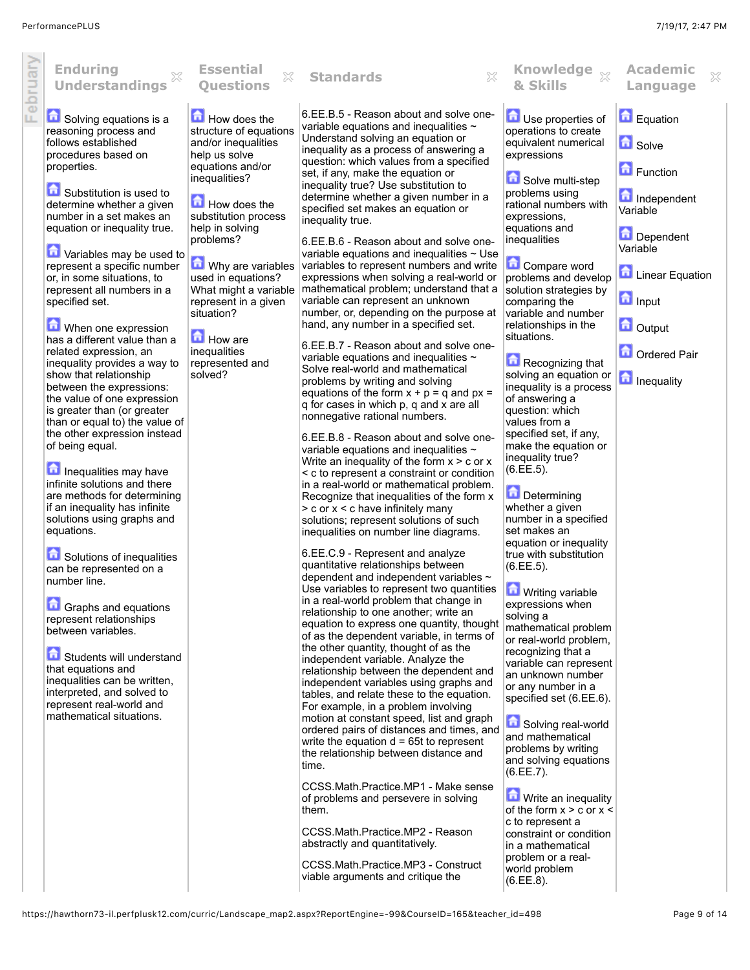February

| <b>Enduring</b><br>X<br><b>Understandings</b>                                                                                                                                                                                                                                                                                                                                                                                                                                                                                                                                                                                                                                                                                                                                                                                                                                                                                                                                                                                                                                                                                                                                                                       | <b>Essential</b><br>X<br><b>Questions</b>                                                                                                                                                                                                                                                                                                                             | X<br><b>Standards</b>                                                                                                                                                                                                                                                                                                                                                                                                                                                                                                                                                                                                                                                                                                                                                                                                                                                                                                                                                                                                                                                                                                                                                                                                                                                                                                                                                                                                                                                                                                                                                                                                                                                                                                                                                                                                                                                                                                                                                                                                                                                                                                                                                                                                                                                                                                                                                                                                                                                                 | Knowledge xx<br>& Skills                                                                                                                                                                                                                                                                                                                                                                                                                                                                                                                                                                                                                                                                                                                                                                                                                                                                                                                                                                                                                                                                                                                                                                                                                    | <b>Academic</b><br>X<br>Language                                                                                                                                                                                   |
|---------------------------------------------------------------------------------------------------------------------------------------------------------------------------------------------------------------------------------------------------------------------------------------------------------------------------------------------------------------------------------------------------------------------------------------------------------------------------------------------------------------------------------------------------------------------------------------------------------------------------------------------------------------------------------------------------------------------------------------------------------------------------------------------------------------------------------------------------------------------------------------------------------------------------------------------------------------------------------------------------------------------------------------------------------------------------------------------------------------------------------------------------------------------------------------------------------------------|-----------------------------------------------------------------------------------------------------------------------------------------------------------------------------------------------------------------------------------------------------------------------------------------------------------------------------------------------------------------------|---------------------------------------------------------------------------------------------------------------------------------------------------------------------------------------------------------------------------------------------------------------------------------------------------------------------------------------------------------------------------------------------------------------------------------------------------------------------------------------------------------------------------------------------------------------------------------------------------------------------------------------------------------------------------------------------------------------------------------------------------------------------------------------------------------------------------------------------------------------------------------------------------------------------------------------------------------------------------------------------------------------------------------------------------------------------------------------------------------------------------------------------------------------------------------------------------------------------------------------------------------------------------------------------------------------------------------------------------------------------------------------------------------------------------------------------------------------------------------------------------------------------------------------------------------------------------------------------------------------------------------------------------------------------------------------------------------------------------------------------------------------------------------------------------------------------------------------------------------------------------------------------------------------------------------------------------------------------------------------------------------------------------------------------------------------------------------------------------------------------------------------------------------------------------------------------------------------------------------------------------------------------------------------------------------------------------------------------------------------------------------------------------------------------------------------------------------------------------------------|---------------------------------------------------------------------------------------------------------------------------------------------------------------------------------------------------------------------------------------------------------------------------------------------------------------------------------------------------------------------------------------------------------------------------------------------------------------------------------------------------------------------------------------------------------------------------------------------------------------------------------------------------------------------------------------------------------------------------------------------------------------------------------------------------------------------------------------------------------------------------------------------------------------------------------------------------------------------------------------------------------------------------------------------------------------------------------------------------------------------------------------------------------------------------------------------------------------------------------------------|--------------------------------------------------------------------------------------------------------------------------------------------------------------------------------------------------------------------|
| Solving equations is a<br>reasoning process and<br>follows established<br>procedures based on<br>properties.<br><b>D</b> Substitution is used to<br>determine whether a given<br>number in a set makes an<br>equation or inequality true.<br>Variables may be used to<br>represent a specific number<br>or, in some situations, to<br>represent all numbers in a<br>specified set.<br>When one expression<br>has a different value than a<br>related expression, an<br>inequality provides a way to<br>show that relationship<br>between the expressions:<br>the value of one expression<br>is greater than (or greater<br>than or equal to) the value of<br>the other expression instead<br>of being equal.<br>Inequalities may have<br>infinite solutions and there<br>are methods for determining<br>if an inequality has infinite<br>solutions using graphs and<br>equations.<br>Solutions of inequalities<br>can be represented on a<br>number line.<br><b>D</b> Graphs and equations<br>represent relationships<br>between variables.<br>Students will understand<br>that equations and<br>inequalities can be written,<br>interpreted, and solved to<br>represent real-world and<br>mathematical situations. | How does the<br>structure of equations<br>and/or inequalities<br>help us solve<br>equations and/or<br>inequalities?<br>How does the<br>substitution process<br>help in solving<br>problems?<br>Why are variables<br>used in equations?<br>What might a variable<br>represent in a given<br>situation?<br><b>How</b> are<br>inequalities<br>represented and<br>solved? | 6.EE.B.5 - Reason about and solve one-<br>variable equations and inequalities ~<br>Understand solving an equation or<br>inequality as a process of answering a<br>question: which values from a specified<br>set, if any, make the equation or<br>inequality true? Use substitution to<br>determine whether a given number in a<br>specified set makes an equation or<br>inequality true.<br>6.EE.B.6 - Reason about and solve one-<br>variable equations and inequalities $\sim$ Use<br>variables to represent numbers and write<br>expressions when solving a real-world or<br>mathematical problem; understand that a<br>variable can represent an unknown<br>number, or, depending on the purpose at<br>hand, any number in a specified set.<br>6.EE.B.7 - Reason about and solve one-<br>variable equations and inequalities $\sim$<br>Solve real-world and mathematical<br>problems by writing and solving<br>equations of the form $x + p = q$ and $px =$<br>q for cases in which p, q and x are all<br>nonnegative rational numbers.<br>6.EE.B.8 - Reason about and solve one-<br>variable equations and inequalities ~<br>Write an inequality of the form $x > c$ or $x$<br>< c to represent a constraint or condition<br>in a real-world or mathematical problem.<br>Recognize that inequalities of the form x<br>$>$ c or $x < c$ have infinitely many<br>solutions; represent solutions of such<br>inequalities on number line diagrams.<br>6.EE.C.9 - Represent and analyze<br>quantitative relationships between<br>dependent and independent variables ~<br>Use variables to represent two quantities<br>in a real-world problem that change in<br>relationship to one another; write an<br>equation to express one quantity, thought<br>of as the dependent variable, in terms of<br>the other quantity, thought of as the<br>independent variable. Analyze the<br>relationship between the dependent and<br>independent variables using graphs and<br>tables, and relate these to the equation.<br>For example, in a problem involving<br>motion at constant speed, list and graph<br>ordered pairs of distances and times, and<br>write the equation d = 65t to represent<br>the relationship between distance and<br>time.<br>CCSS.Math.Practice.MP1 - Make sense<br>of problems and persevere in solving<br>them.<br>CCSS.Math.Practice.MP2 - Reason<br>abstractly and quantitatively.<br>CCSS.Math.Practice.MP3 - Construct<br>viable arguments and critique the | Use properties of<br>operations to create<br>equivalent numerical<br>expressions<br>Solve multi-step<br>problems using<br>rational numbers with<br>expressions,<br>equations and<br>inequalities<br>Compare word<br>problems and develop<br>solution strategies by<br>comparing the<br>variable and number<br>relationships in the<br>situations.<br>Recognizing that<br>solving an equation or<br>inequality is a process<br>of answering a<br>question: which<br>values from a<br>specified set, if any,<br>make the equation or<br>inequality true?<br>(6.EE.5).<br>Determining<br>whether a given<br>number in a specified<br>set makes an<br>equation or inequality<br>true with substitution<br>(6.EE.5).<br><b>M</b> Writing variable<br>expressions when<br>solving a<br>mathematical problem<br>or real-world problem,<br>recognizing that a<br>variable can represent<br>an unknown number<br>or any number in a<br>specified set (6.EE.6).<br>Solving real-world<br>and mathematical<br>problems by writing<br>and solving equations<br>(6.EE.7).<br>Write an inequality<br>of the form $x > c$ or $x <$<br>c to represent a<br>constraint or condition<br>in a mathematical<br>problem or a real-<br>world problem<br>(6.EE.8). | <b>D</b> Equation<br><b>D</b> Solve<br>Function<br>Independent<br>Variable<br>Dependent<br>Variable<br><b>Linear Equation</b><br><b>n</b> Input<br><b>D</b> Output<br><b>D</b> Ordered Pair<br><b>n</b> Inequality |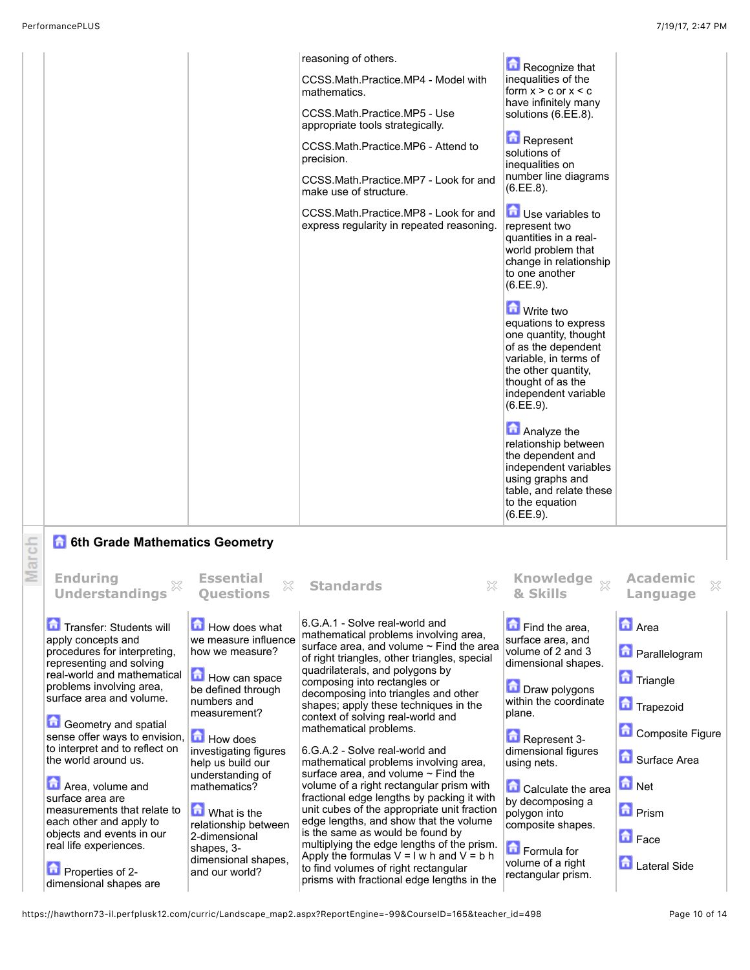|   | PerformancePLUS<br>7/19/17, 2:47 PM                                                                                                                                                                                                                                                                                                                                                                                                                                                                                                           |                                                                                                                                                                                                                                                                                                                                                             |                                                                                                                                                                                                                                                                                                                                                                                                                                                                                                                                                                                                                                                                                                                                                                                                                                                                                                                               |                                                                                                                                                                                                                                                                                                                                                                                                                                                                                                                                                                                                                                                                                                                                        |                                                                                                                                                                                               |  |  |
|---|-----------------------------------------------------------------------------------------------------------------------------------------------------------------------------------------------------------------------------------------------------------------------------------------------------------------------------------------------------------------------------------------------------------------------------------------------------------------------------------------------------------------------------------------------|-------------------------------------------------------------------------------------------------------------------------------------------------------------------------------------------------------------------------------------------------------------------------------------------------------------------------------------------------------------|-------------------------------------------------------------------------------------------------------------------------------------------------------------------------------------------------------------------------------------------------------------------------------------------------------------------------------------------------------------------------------------------------------------------------------------------------------------------------------------------------------------------------------------------------------------------------------------------------------------------------------------------------------------------------------------------------------------------------------------------------------------------------------------------------------------------------------------------------------------------------------------------------------------------------------|----------------------------------------------------------------------------------------------------------------------------------------------------------------------------------------------------------------------------------------------------------------------------------------------------------------------------------------------------------------------------------------------------------------------------------------------------------------------------------------------------------------------------------------------------------------------------------------------------------------------------------------------------------------------------------------------------------------------------------------|-----------------------------------------------------------------------------------------------------------------------------------------------------------------------------------------------|--|--|
|   |                                                                                                                                                                                                                                                                                                                                                                                                                                                                                                                                               |                                                                                                                                                                                                                                                                                                                                                             | reasoning of others.<br>CCSS.Math.Practice.MP4 - Model with<br>mathematics.<br>CCSS.Math.Practice.MP5 - Use<br>appropriate tools strategically.<br>CCSS.Math.Practice.MP6 - Attend to<br>precision.<br>CCSS.Math.Practice.MP7 - Look for and<br>make use of structure.<br>CCSS.Math.Practice.MP8 - Look for and<br>express regularity in repeated reasoning.                                                                                                                                                                                                                                                                                                                                                                                                                                                                                                                                                                  | Recognize that<br>inequalities of the<br>form $x > c$ or $x < c$<br>have infinitely many<br>solutions (6.EE.8).<br>Represent<br>solutions of<br>inequalities on<br>number line diagrams<br>(6.EE.8).<br><b>D</b> Use variables to<br>represent two<br>quantities in a real-<br>world problem that<br>change in relationship<br>to one another<br>(6.EE.9).<br><b>M</b> Write two<br>equations to express<br>one quantity, thought<br>of as the dependent<br>variable, in terms of<br>the other quantity,<br>thought of as the<br>independent variable<br>(6.EE.9).<br>Analyze the<br>relationship between<br>the dependent and<br>independent variables<br>using graphs and<br>table, and relate these<br>to the equation<br>(6.EE.9). |                                                                                                                                                                                               |  |  |
| Ξ | arch<br><b>6 6th Grade Mathematics Geometry</b><br><b>Enduring</b><br>X<br><b>Understandings</b>                                                                                                                                                                                                                                                                                                                                                                                                                                              | <b>Essential</b><br>X<br><b>Ouestions</b>                                                                                                                                                                                                                                                                                                                   | 83<br><b>Standards</b>                                                                                                                                                                                                                                                                                                                                                                                                                                                                                                                                                                                                                                                                                                                                                                                                                                                                                                        | Knowledge<br>$\chi$                                                                                                                                                                                                                                                                                                                                                                                                                                                                                                                                                                                                                                                                                                                    | <b>Academic</b><br>×<br>Language                                                                                                                                                              |  |  |
|   | Transfer: Students will<br>apply concepts and<br>procedures for interpreting,<br>representing and solving<br>real-world and mathematical<br>problems involving area,<br>surface area and volume.<br>侖<br>Geometry and spatial<br>sense offer ways to envision,<br>to interpret and to reflect on<br>the world around us.<br><b>D</b> Area, volume and<br>surface area are<br>measurements that relate to<br>each other and apply to<br>objects and events in our<br>real life experiences.<br>鱼<br>Properties of 2-<br>dimensional shanes are | How does what<br>we measure influence<br>how we measure?<br>How can space<br>be defined through<br>numbers and<br>measurement?<br><b>How does</b><br>investigating figures<br>help us build our<br>understanding of<br>mathematics?<br><b>M</b> What is the<br>relationship between<br>2-dimensional<br>shapes, 3-<br>dimensional shapes,<br>and our world? | 6.G.A.1 - Solve real-world and<br>mathematical problems involving area,<br>surface area, and volume $\sim$ Find the area<br>of right triangles, other triangles, special<br>quadrilaterals, and polygons by<br>composing into rectangles or<br>decomposing into triangles and other<br>shapes; apply these techniques in the<br>context of solving real-world and<br>mathematical problems.<br>6.G.A.2 - Solve real-world and<br>mathematical problems involving area,<br>surface area, and volume $\sim$ Find the<br>volume of a right rectangular prism with<br>fractional edge lengths by packing it with<br>unit cubes of the appropriate unit fraction<br>edge lengths, and show that the volume<br>is the same as would be found by<br>multiplying the edge lengths of the prism.<br>Apply the formulas $V = I w h$ and $V = b h$<br>to find volumes of right rectangular<br>prisms with fractional edge lengths in the | Find the area,<br>surface area, and<br>volume of 2 and 3<br>dimensional shapes.<br>Draw polygons<br>within the coordinate<br>plane.<br>Represent 3-<br>dimensional figures<br>using nets.<br>Calculate the area<br>by decomposing a<br>polygon into<br>composite shapes.<br>Formula for<br>volume of a right<br>rectangular prism.                                                                                                                                                                                                                                                                                                                                                                                                     | <b>n</b><br>Area<br><b>D</b> Parallelogram<br><b>Triangle</b><br><b>Trapezoid</b><br>Composite Figure<br>Surface Area<br><b>D</b> Net<br><b>n</b> Prism<br><b>Face</b><br><b>Lateral Side</b> |  |  |

dimensional shapes are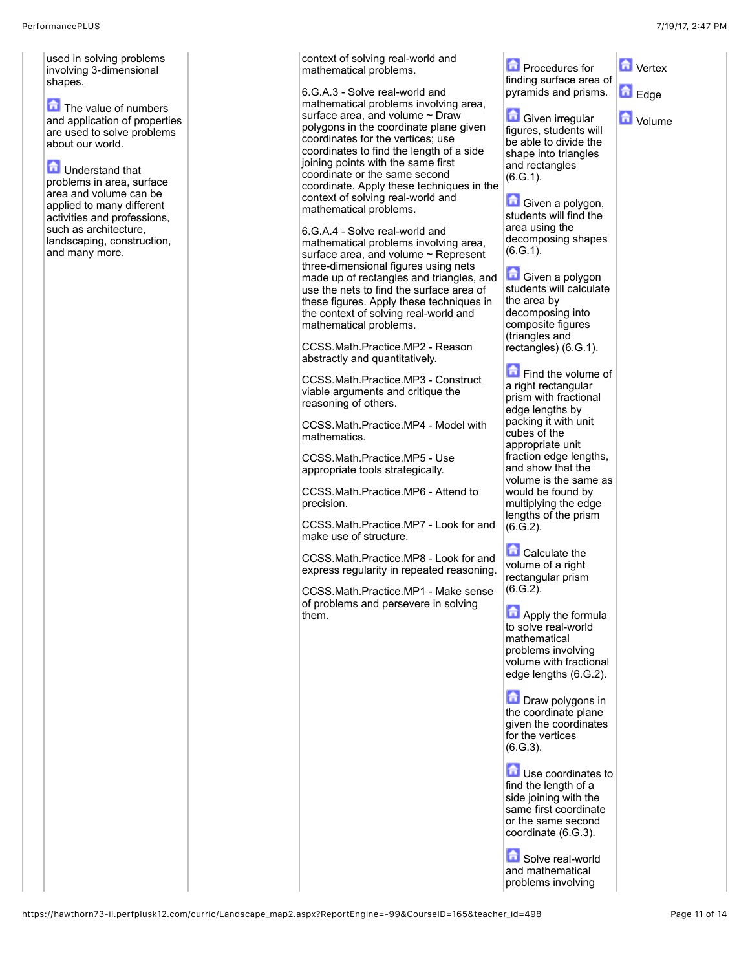used in solving problems involving 3-dimensional shapes.

The value of numbers and application of properties are used to solve problems about our world.

**D** Understand that problems in area, surface area and volume can be applied to many different activities and professions, such as architecture, landscaping, construction, and many more.

context of solving real-world and mathematical problems.

6.G.A.3 - Solve real-world and mathematical problems involving area, surface area, and volume ~ Draw polygons in the coordinate plane given coordinates for the vertices; use coordinates to find the length of a side joining points with the same first coordinate or the same second coordinate. Apply these techniques in the context of solving real-world and mathematical problems.

6.G.A.4 - Solve real-world and mathematical problems involving area, surface area, and volume ~ Represent three-dimensional figures using nets made up of rectangles and triangles, and use the nets to find the surface area of these figures. Apply these techniques in the context of solving real-world and mathematical problems.

CCSS.Math.Practice.MP2 - Reason abstractly and quantitatively.

CCSS.Math.Practice.MP3 - Construct viable arguments and critique the reasoning of others.

CCSS.Math.Practice.MP4 - Model with mathematics.

CCSS.Math.Practice.MP5 - Use appropriate tools strategically.

CCSS.Math.Practice.MP6 - Attend to precision.

CCSS.Math.Practice.MP7 - Look for and make use of structure.

CCSS.Math.Practice.MP8 - Look for and express regularity in repeated reasoning.

CCSS.Math.Practice.MP1 - Make sense of problems and persevere in solving them.

**Procedures for** finding surface area of pyramids and prisms.

**D** Vertex

Edge

**D** Volume

**Given irregular** figures, students will be able to divide the shape into triangles and rectangles (6.G.1).

**Given a polygon,** students will find the area using the decomposing shapes  $(6.G.1)$ .

**Given a polygon** students will calculate the area by decomposing into composite figures (triangles and rectangles) (6.G.1).

Find the volume of a right rectangular prism with fractional edge lengths by packing it with unit cubes of the appropriate unit fraction edge lengths. and show that the volume is the same as would be found by multiplying the edge lengths of the prism  $(6.\overline{G}.2).$ 

Calculate the volume of a right rectangular prism  $(6.G.2)$ .

**Apply the formula** to solve real-world mathematical problems involving volume with fractional edge lengths (6.G.2).

**Draw polygons in** the coordinate plane given the coordinates for the vertices  $(6.G.3)$ .

**D** Use coordinates to find the length of a side joining with the same first coordinate or the same second coordinate (6.G.3).

Solve real-world and mathematical problems involving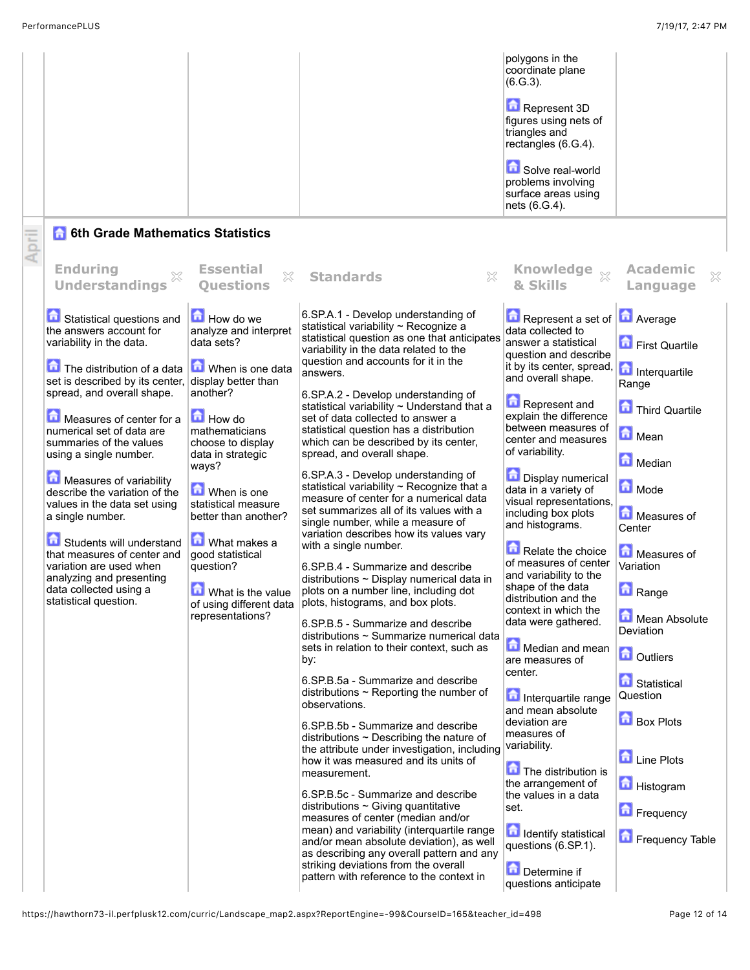|                                                                                                                                                                                                                                                                                                                                                                                                                                                                                                                                                                                    |                                                                                                                                                                                                                                                                                                                                                                                       |                                                                                                                                                                                                                                                                                                                                                                                                                                                                                                                                                                                                                                                                                                                                                                                                                                                                                                                                                                                                                                                                                                                                                                                                                                                                                                                                                                                                                                                                                                                                                                                                                                                                                                                              | polygons in the<br>coordinate plane<br>$(6.G.3)$ .<br>Represent 3D<br>figures using nets of<br>triangles and<br>rectangles (6.G.4).<br>Solve real-world<br>problems involving<br>surface areas using<br>nets (6.G.4).                                                                                                                                                                                                                                                                                                                                                                                                                                                                                                                                                                                                                                                                           |                                                                                                                                                                                                                                                                                                                                             |
|------------------------------------------------------------------------------------------------------------------------------------------------------------------------------------------------------------------------------------------------------------------------------------------------------------------------------------------------------------------------------------------------------------------------------------------------------------------------------------------------------------------------------------------------------------------------------------|---------------------------------------------------------------------------------------------------------------------------------------------------------------------------------------------------------------------------------------------------------------------------------------------------------------------------------------------------------------------------------------|------------------------------------------------------------------------------------------------------------------------------------------------------------------------------------------------------------------------------------------------------------------------------------------------------------------------------------------------------------------------------------------------------------------------------------------------------------------------------------------------------------------------------------------------------------------------------------------------------------------------------------------------------------------------------------------------------------------------------------------------------------------------------------------------------------------------------------------------------------------------------------------------------------------------------------------------------------------------------------------------------------------------------------------------------------------------------------------------------------------------------------------------------------------------------------------------------------------------------------------------------------------------------------------------------------------------------------------------------------------------------------------------------------------------------------------------------------------------------------------------------------------------------------------------------------------------------------------------------------------------------------------------------------------------------------------------------------------------------|-------------------------------------------------------------------------------------------------------------------------------------------------------------------------------------------------------------------------------------------------------------------------------------------------------------------------------------------------------------------------------------------------------------------------------------------------------------------------------------------------------------------------------------------------------------------------------------------------------------------------------------------------------------------------------------------------------------------------------------------------------------------------------------------------------------------------------------------------------------------------------------------------|---------------------------------------------------------------------------------------------------------------------------------------------------------------------------------------------------------------------------------------------------------------------------------------------------------------------------------------------|
| April<br><b>Enduring</b>                                                                                                                                                                                                                                                                                                                                                                                                                                                                                                                                                           | <b>6th Grade Mathematics Statistics</b><br><b>Essential</b>                                                                                                                                                                                                                                                                                                                           |                                                                                                                                                                                                                                                                                                                                                                                                                                                                                                                                                                                                                                                                                                                                                                                                                                                                                                                                                                                                                                                                                                                                                                                                                                                                                                                                                                                                                                                                                                                                                                                                                                                                                                                              |                                                                                                                                                                                                                                                                                                                                                                                                                                                                                                                                                                                                                                                                                                                                                                                                                                                                                                 | <b>Academic</b>                                                                                                                                                                                                                                                                                                                             |
| <b>Understandings</b>                                                                                                                                                                                                                                                                                                                                                                                                                                                                                                                                                              | X<br><b>Ouestions</b>                                                                                                                                                                                                                                                                                                                                                                 | ×<br><b>Standards</b>                                                                                                                                                                                                                                                                                                                                                                                                                                                                                                                                                                                                                                                                                                                                                                                                                                                                                                                                                                                                                                                                                                                                                                                                                                                                                                                                                                                                                                                                                                                                                                                                                                                                                                        | Knowledge xx<br>& Skills                                                                                                                                                                                                                                                                                                                                                                                                                                                                                                                                                                                                                                                                                                                                                                                                                                                                        | ×<br>Language                                                                                                                                                                                                                                                                                                                               |
| Statistical questions and<br>the answers account for<br>variability in the data.<br>The distribution of a data<br>set is described by its center,<br>spread, and overall shape.<br>Measures of center for a<br>numerical set of data are<br>summaries of the values<br>using a single number.<br>Measures of variability<br>describe the variation of the<br>values in the data set using<br>a single number.<br>Students will understand<br>that measures of center and<br>variation are used when<br>analyzing and presenting<br>data collected using a<br>statistical question. | How do we<br>analyze and interpret<br>data sets?<br>When is one data<br>display better than<br>another?<br><b>How do</b><br>mathematicians<br>choose to display<br>data in strategic<br>ways?<br>When is one<br>statistical measure<br>better than another?<br>What makes a<br>good statistical<br>question?<br>奇<br>What is the value<br>of using different data<br>representations? | 6.SP.A.1 - Develop understanding of<br>statistical variability ~ Recognize a<br>statistical question as one that anticipates<br>variability in the data related to the<br>question and accounts for it in the<br>answers.<br>6.SP.A.2 - Develop understanding of<br>statistical variability ~ Understand that a<br>set of data collected to answer a<br>statistical question has a distribution<br>which can be described by its center,<br>spread, and overall shape.<br>6.SP.A.3 - Develop understanding of<br>statistical variability ~ Recognize that a<br>measure of center for a numerical data<br>set summarizes all of its values with a<br>single number, while a measure of<br>variation describes how its values vary<br>with a single number.<br>6.SP.B.4 - Summarize and describe<br>distributions $\sim$ Display numerical data in<br>plots on a number line, including dot<br>plots, histograms, and box plots.<br>6.SP.B.5 - Summarize and describe<br>distributions ~ Summarize numerical data<br>sets in relation to their context, such as<br>by:<br>6.SP.B.5a - Summarize and describe<br>distributions $\sim$ Reporting the number of<br>observations.<br>6.SP.B.5b - Summarize and describe<br>distributions $\sim$ Describing the nature of<br>the attribute under investigation, including<br>how it was measured and its units of<br>measurement.<br>6.SP.B.5c - Summarize and describe<br>distributions $\sim$ Giving quantitative<br>measures of center (median and/or<br>mean) and variability (interquartile range<br>and/or mean absolute deviation), as well<br>as describing any overall pattern and any<br>striking deviations from the overall<br>pattern with reference to the context in | Represent a set of <b>A</b> Average<br>data collected to<br>answer a statistical<br>question and describe<br>it by its center, spread,<br>and overall shape.<br>Represent and<br>explain the difference<br>between measures of<br>center and measures<br>of variability.<br><b>Display numerical</b><br>data in a variety of<br>visual representations,<br>including box plots<br>and histograms.<br>Relate the choice<br>of measures of center<br>and variability to the<br>shape of the data<br>distribution and the<br>context in which the<br>data were gathered.<br>Median and mean<br>are measures of<br>center.<br>Interquartile range<br>and mean absolute<br>deviation are<br>measures of<br>variability.<br>The distribution is<br>the arrangement of<br>the values in a data<br>set.<br><b>n</b> Identify statistical<br>questions (6.SP.1).<br>Determine if<br>questions anticipate | First Quartile<br>Interquartile<br>Range<br>Third Quartile<br>Mean<br>Median<br>Mode<br>Measures of<br>Center<br>Measures of<br>Variation<br>奇<br>Range<br>Mean Absolute<br>Deviation<br><b>D</b> Outliers<br><b>B</b> Statistical<br>Question<br><b>Box Plots</b><br><b>Line Plots</b><br><b>Histogram</b><br>Frequency<br>Frequency Table |